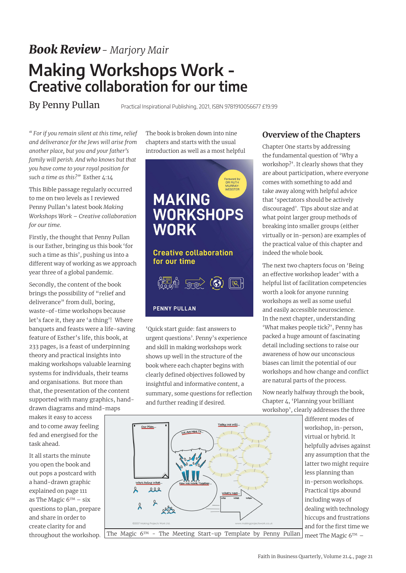## *Book Review- Marjory Mair* **Making Workshops Work - Creative collaboration for our time**

## By Penny Pullan

Practical Inspirational Publishing, 2021, ISBN 9781910056677 £19.99

*" For if you remain silent at this time, relief and deliverance for the Jews will arise from another place, but you and your father's family will perish. And who knows but that you have come to your royal position for such a time as this?"* Esther 4:14

This Bible passage regularly occurred to me on two levels as I reviewed Penny Pullan's latest book *Making Workshops Work – Creative collaboration for our time*.

Firstly, the thought that Penny Pullan is our Esther, bringing us this book 'for such a time as this', pushing us into a different way of working as we approach year three of a global pandemic.

Secondly, the content of the book brings the possibility of "relief and deliverance" from dull, boring, waste-of-time workshops because let's face it, they are 'a thing'! Where banquets and feasts were a life-saving feature of Esther's life, this book, at 233 pages, is a feast of underpinning theory and practical insights into making workshops valuable learning systems for individuals, their teams and organisations. But more than that, the presentation of the content supported with many graphics, handdrawn diagrams and mind-maps

makes it easy to access and to come away feeling fed and energised for the task ahead.

It all starts the minute you open the book and out pops a postcard with a hand-drawn graphic explained on page 111 as The Magic  $6^{TM}$  – six questions to plan, prepare and share in order to create clarity for and throughout the workshop.

The book is broken down into nine chapters and starts with the usual introduction as well as a most helpful



'Quick start guide: fast answers to urgent questions'. Penny's experience and skill in making workshops work shows up well in the structure of the book where each chapter begins with clearly defined objectives followed by insightful and informative content, a summary, some questions for reflection and further reading if desired.



## **Overview of the Chapters**

Chapter One starts by addressing the fundamental question of 'Why a workshop?'. It clearly shows that they are about participation, where everyone comes with something to add and take away along with helpful advice that 'spectators should be actively discouraged'. Tips about size and at what point larger group methods of breaking into smaller groups (either virtually or in-person) are examples of the practical value of this chapter and indeed the whole book.

The next two chapters focus on 'Being an effective workshop leader' with a helpful list of facilitation competencies worth a look for anyone running workshops as well as some useful and easily accessible neuroscience. In the next chapter, understanding 'What makes people tick?', Penny has packed a huge amount of fascinating detail including sections to raise our awareness of how our unconscious biases can limit the potential of our workshops and how change and conflict are natural parts of the process.

Now nearly halfway through the book, Chapter 4, 'Planning your brilliant workshop', clearly addresses the three

> different modes of workshop, in-person, virtual or hybrid. It helpfully advises against any assumption that the latter two might require less planning than in-person workshops. Practical tips abound including ways of dealing with technology hiccups and frustrations and for the first time we meet The Magic  $6<sup>TM</sup>$  –